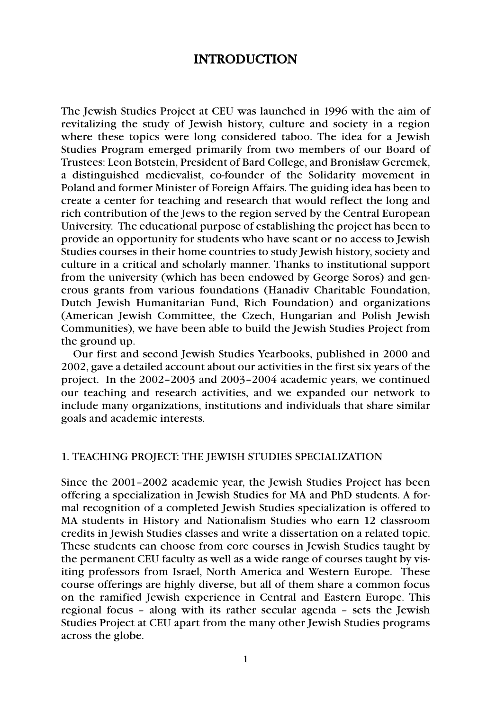# INTRODUCTION

The Jewish Studies Project at CEU was launched in 1996 with the aim of revitalizing the study of Jewish history, culture and society in a region where these topics were long considered taboo. The idea for a Jewish Studies Program emerged primarily from two members of our Board of Trustees: Leon Botstein, President of Bard College, and Bronisław Geremek, a distinguished medievalist, co-founder of the Solidarity movement in Poland and former Minister of Foreign Affairs. The guiding idea has been to create a center for teaching and research that would reflect the long and rich contribution of the Jews to the region served by the Central European University. The educational purpose of establishing the project has been to provide an opportunity for students who have scant or no access to Jewish Studies courses in their home countries to study Jewish history, society and culture in a critical and scholarly manner. Thanks to institutional support from the university (which has been endowed by George Soros) and generous grants from various foundations (Hanadiv Charitable Foundation, Dutch Jewish Humanitarian Fund, Rich Foundation) and organizations (American Jewish Committee, the Czech, Hungarian and Polish Jewish Communities), we have been able to build the Jewish Studies Project from the ground up.

Our first and second Jewish Studies Yearbooks, published in 2000 and 2002, gave a detailed account about our activities in the first six years of the project. In the 2002–2003 and 2003–2004 academic years, we continued our teaching and research activities, and we expanded our network to include many organizations, institutions and individuals that share similar goals and academic interests.

## 1. TEACHING PROJECT: THE JEWISH STUDIES SPECIALIZATION

Since the 2001–2002 academic year, the Jewish Studies Project has been offering a specialization in Jewish Studies for MA and PhD students. A formal recognition of a completed Jewish Studies specialization is offered to MA students in History and Nationalism Studies who earn 12 classroom credits in Jewish Studies classes and write a dissertation on a related topic. These students can choose from core courses in Jewish Studies taught by the permanent CEU faculty as well as a wide range of courses taught by visiting professors from Israel, North America and Western Europe. These course offerings are highly diverse, but all of them share a common focus on the ramified Jewish experience in Central and Eastern Europe. This regional focus – along with its rather secular agenda – sets the Jewish Studies Project at CEU apart from the many other Jewish Studies programs across the globe.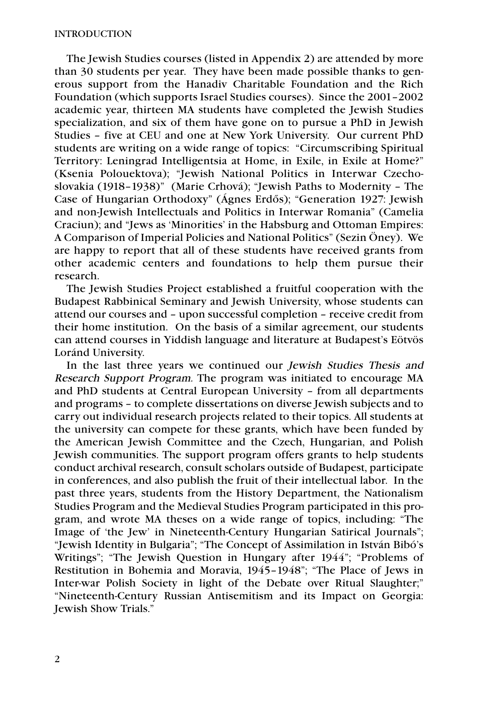The Jewish Studies courses (listed in Appendix 2) are attended by more than 30 students per year. They have been made possible thanks to generous support from the Hanadiv Charitable Foundation and the Rich Foundation (which supports Israel Studies courses). Since the 2001–2002 academic year, thirteen MA students have completed the Jewish Studies specialization, and six of them have gone on to pursue a PhD in Jewish Studies – five at CEU and one at New York University. Our current PhD students are writing on a wide range of topics: "Circumscribing Spiritual Territory: Leningrad Intelligentsia at Home, in Exile, in Exile at Home?" (Ksenia Polouektova); "Jewish National Politics in Interwar Czechoslovakia (1918–1938)" (Marie Crhová); "Jewish Paths to Modernity – The Case of Hungarian Orthodoxy" (Ágnes Erdős); "Generation 1927: Jewish and non-Jewish Intellectuals and Politics in Interwar Romania" (Camelia Craciun); and "Jews as 'Minorities' in the Habsburg and Ottoman Empires: A Comparison of Imperial Policies and National Politics" (Sezin Öney). We are happy to report that all of these students have received grants from other academic centers and foundations to help them pursue their research.

The Jewish Studies Project established a fruitful cooperation with the Budapest Rabbinical Seminary and Jewish University, whose students can attend our courses and – upon successful completion – receive credit from their home institution. On the basis of a similar agreement, our students can attend courses in Yiddish language and literature at Budapest's Eötvös Loránd University.

In the last three years we continued our Jewish Studies Thesis and Research Support Program. The program was initiated to encourage MA and PhD students at Central European University – from all departments and programs – to complete dissertations on diverse Jewish subjects and to carry out individual research projects related to their topics. All students at the university can compete for these grants, which have been funded by the American Jewish Committee and the Czech, Hungarian, and Polish Jewish communities. The support program offers grants to help students conduct archival research, consult scholars outside of Budapest, participate in conferences, and also publish the fruit of their intellectual labor. In the past three years, students from the History Department, the Nationalism Studies Program and the Medieval Studies Program participated in this program, and wrote MA theses on a wide range of topics, including: "The Image of 'the Jew' in Nineteenth-Century Hungarian Satirical Journals"; "Jewish Identity in Bulgaria"; "The Concept of Assimilation in István Bibó's Writings"; "The Jewish Question in Hungary after 1944"; "Problems of Restitution in Bohemia and Moravia, 1945–1948"; "The Place of Jews in Inter-war Polish Society in light of the Debate over Ritual Slaughter;" "Nineteenth-Century Russian Antisemitism and its Impact on Georgia: Jewish Show Trials."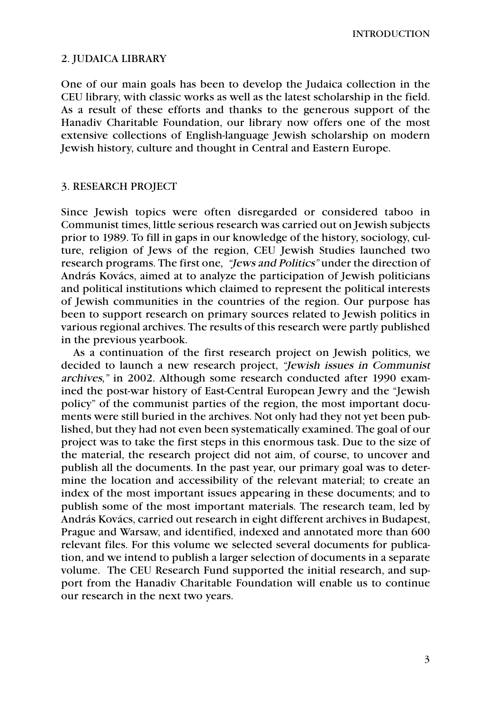INTRODUCTION

## 2. JUDAICA LIBRARY

One of our main goals has been to develop the Judaica collection in the CEU library, with classic works as well as the latest scholarship in the field. As a result of these efforts and thanks to the generous support of the Hanadiv Charitable Foundation, our library now offers one of the most extensive collections of English-language Jewish scholarship on modern Jewish history, culture and thought in Central and Eastern Europe.

## 3. RESEARCH PROJECT

Since Jewish topics were often disregarded or considered taboo in Communist times, little serious research was carried out on Jewish subjects prior to 1989. To fill in gaps in our knowledge of the history, sociology, culture, religion of Jews of the region, CEU Jewish Studies launched two research programs. The first one, "Jews and Politics" under the direction of András Kovács, aimed at to analyze the participation of Jewish politicians and political institutions which claimed to represent the political interests of Jewish communities in the countries of the region. Our purpose has been to support research on primary sources related to Jewish politics in various regional archives. The results of this research were partly published in the previous yearbook.

As a continuation of the first research project on Jewish politics, we decided to launch a new research project, "Jewish issues in Communist archives," in 2002. Although some research conducted after 1990 examined the post-war history of East-Central European Jewry and the "Jewish policy" of the communist parties of the region, the most important documents were still buried in the archives. Not only had they not yet been published, but they had not even been systematically examined. The goal of our project was to take the first steps in this enormous task. Due to the size of the material, the research project did not aim, of course, to uncover and publish all the documents. In the past year, our primary goal was to determine the location and accessibility of the relevant material; to create an index of the most important issues appearing in these documents; and to publish some of the most important materials. The research team, led by András Kovács, carried out research in eight different archives in Budapest, Prague and Warsaw, and identified, indexed and annotated more than 600 relevant files. For this volume we selected several documents for publication, and we intend to publish a larger selection of documents in a separate volume. The CEU Research Fund supported the initial research, and support from the Hanadiv Charitable Foundation will enable us to continue our research in the next two years.